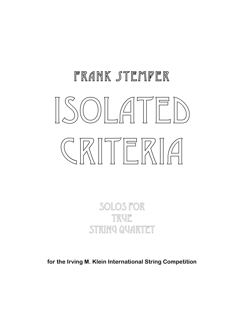



**for the Irving M. Klein International String Competition**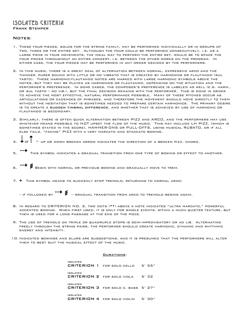### ISOLATED CRITERIA

Frank Stemper

#### NOTES:

- 1. These four pieces, solos for the string family, may be performed individually or in groups of two, three or the entire set. Although the four could be performed consecutively, i.e. as a large piece in four movements, the ideal way to perform the entire set, would be to space the four pieces throughout an entire concert, i.e. between the other works on the program. In either case, the four pieces may be performed in any order decided by the performers.
- 2. In this music, there is a great deal of alternation between normal, expressive arco and the thinner, purer sound with little or no vibrato that is created by harmonics or flautando (sul tasto). These harmonic/flautando notes are marked with large harmonic symbols above the notes, but they may be played as harmonics or flautando, depending on the situation and the performer's preference. In some cases, the composer's preference is labeled as well (e.g. harm., OR SUL TASTO – NO VIB.), BUT THE FINAL DECISION REMAINS WITH THE PERFORMER. THIS IS DONE IN ORDER to achieve the most effective, natural performance possible. Many of these pitches occur as articulations or cadences of phrases, and therefore the movement should move directly to them without the hesitation that is sometimes needed to prepare certain harmonics. The primary desire is to create a sudden timbral difference, and whether that is achieved by use of harmonic or flautando is secondary.
- 3. Similarly, there is often quick alternation between PIZZ and ARCO, and the performers may use whatever means possible to NOT upset the flow of the music. This may include LH PIZZ, (which is sometimes stated in the score), HAMMER-ONS or PULL-OFFS, using musical RUBATO, or if all else fails, "faking" PIZZ with a very marcato and staccato bowing.

 $\dot{\blacklozenge}$  or  $\dot{\blacklozenge}$  = up or down broken arrow indicates the direction of a broken pizz. chord.

 $\overrightarrow{f}$  This symbol indicates a gradual transition from one type of bowing or effect to another.

6. <sup>•••••</sup> BEGIN WITH NORMAL OR PREVIOUS BOWING AND GRADUALLY MOVE TO TREM.

7. **+** This symbol means to suddenly stop tremolo, returning to normal arco;

– if followed by æ – gradual transition from arco to tremolo begins again.

- 8. In regard to CRITERION NO. 2, two dots (••) above a note indicates "ultra marcato," powerful accented bowing. When first used, it is only for single events, within a much quieter texture, but then is used for a long passage at the end of the piece.
- 9. The use of tremolo on triple or quadruple stops is semi-improvisatory or ad lib. Alternating freely through the string pairs, the performer should create harmonic, dynamic and rhythmic energy and intensity.
- 10. Indicated bowings and slurs are suggestions, and it is presumed that the performers will alter them to best suit the musical effect of the music.

#### Durations:

ISOLATED CRITERION 1 FOR SOLO CELLO 5' 55" ISOLATED CRITERION 2 FOR SOLO VIOLA 5' 32 ISOLATED CRITERION 3 for solo c. bass 5' 27" ISOLATED CRITERION 4 for solo violin 5' 30"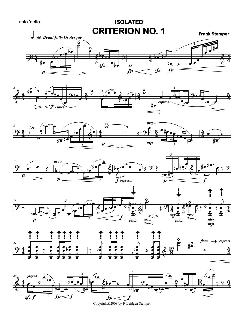











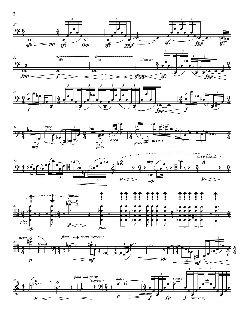











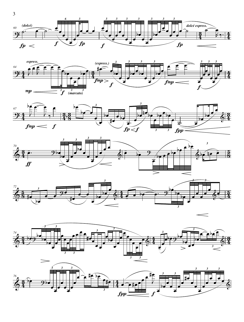











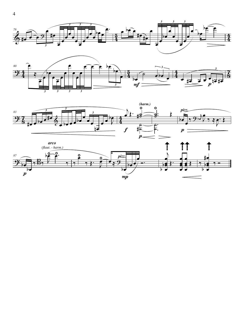



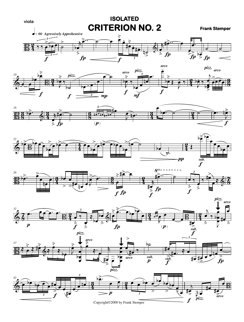













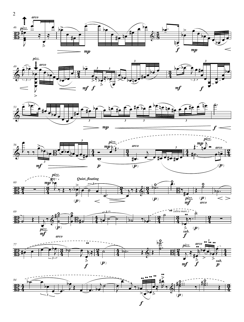













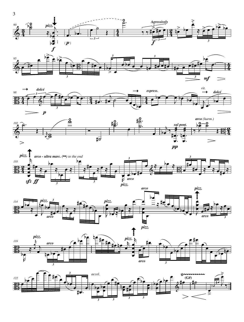













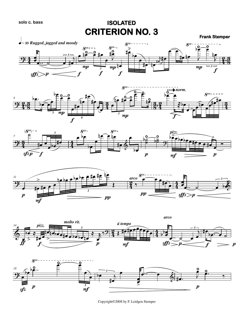**solo c. bass**

# **ISOLATED CRITERION NO. 3** Frank Stemper













Copyright©2008 by F. Leidgen Stemper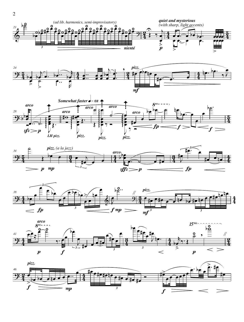











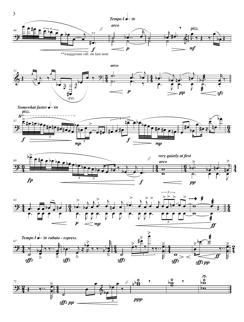







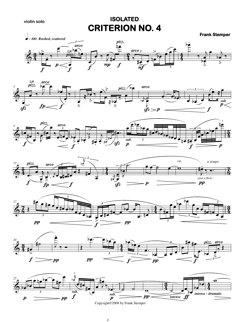**violin solo**

## **ISOLATED CRITERION NO. 4**

**Frank Stemper**













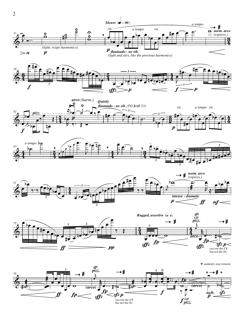

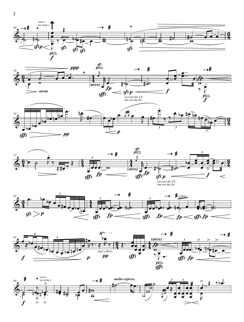